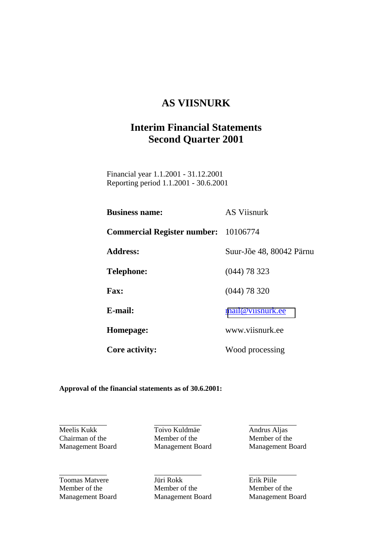# **AS VIISNURK**

# **Interim Financial Statements Second Quarter 2001**

 Financial year 1.1.2001 - 31.12.2001 Reporting period 1.1.2001 - 30.6.2001

| <b>Business name:</b>                       | <b>AS Viisnurk</b>       |
|---------------------------------------------|--------------------------|
| <b>Commercial Register number:</b> 10106774 |                          |
| <b>Address:</b>                             | Suur-Jõe 48, 80042 Pärnu |
| <b>Telephone:</b>                           | $(044)$ 78 323           |
| <b>Fax:</b>                                 | $(044)$ 78 320           |
| E-mail:                                     | mail@viisnurk.ee         |
| Homepage:                                   | www.viisnurk.ee          |
| <b>Core activity:</b>                       | Wood processing          |

#### **Approval of the financial statements as of 30.6.2001:**

Meelis Kukk Toivo Kuldmäe Andrus Aljas

l

l

Chairman of the Member of the Member of the Member of the Management Board Management Board Management Board

**Toomas Matvere** Jüri Rokk **Erik Piile** Member of the Member of the Member of the Management Board Management Board Management Board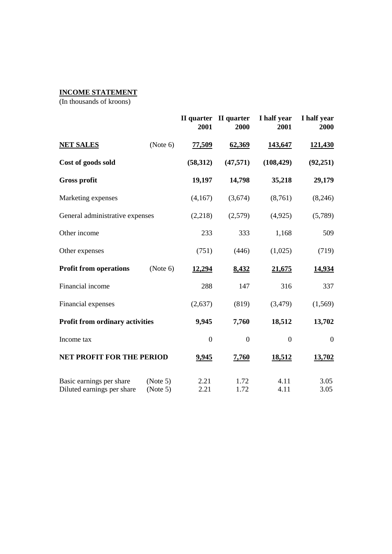# **INCOME STATEMENT**

|                                                        |                      | 2001             | II quarter II quarter<br>2000 | I half year<br>2001 | I half year<br>2000 |
|--------------------------------------------------------|----------------------|------------------|-------------------------------|---------------------|---------------------|
| <b>NET SALES</b>                                       | (Note 6)             | 77,509           | 62,369                        | 143,647             | 121,430             |
| Cost of goods sold                                     |                      | (58, 312)        | (47, 571)                     | (108, 429)          | (92, 251)           |
| <b>Gross profit</b>                                    |                      | 19,197           | 14,798                        | 35,218              | 29,179              |
| Marketing expenses                                     |                      | (4,167)          | (3,674)                       | (8,761)             | (8,246)             |
| General administrative expenses                        |                      | (2,218)          | (2,579)                       | (4,925)             | (5,789)             |
| Other income                                           |                      | 233              | 333                           | 1,168               | 509                 |
| Other expenses                                         |                      | (751)            | (446)                         | (1,025)             | (719)               |
| <b>Profit from operations</b>                          | (Note 6)             | 12,294           | 8,432                         | 21,675              | 14,934              |
| Financial income                                       |                      | 288              | 147                           | 316                 | 337                 |
| Financial expenses                                     |                      | (2,637)          | (819)                         | (3,479)             | (1, 569)            |
| <b>Profit from ordinary activities</b>                 |                      | 9,945            | 7,760                         | 18,512              | 13,702              |
| Income tax                                             |                      | $\boldsymbol{0}$ | $\boldsymbol{0}$              | $\boldsymbol{0}$    | $\boldsymbol{0}$    |
| <b>NET PROFIT FOR THE PERIOD</b>                       |                      | 9,945            | 7,760                         | 18,512              | 13,702              |
| Basic earnings per share<br>Diluted earnings per share | (Note 5)<br>(Note 5) | 2.21<br>2.21     | 1.72<br>1.72                  | 4.11<br>4.11        | 3.05<br>3.05        |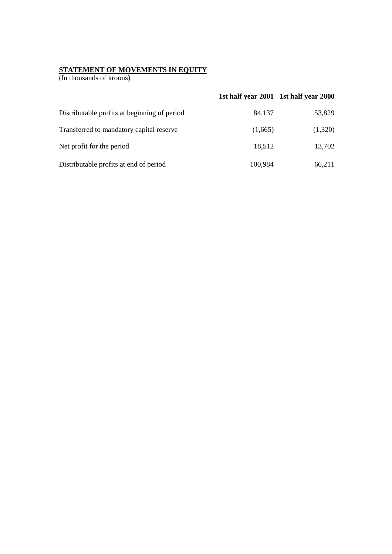#### **STATEMENT OF MOVEMENTS IN EQUITY**

|                                              |         | 1st half year 2001 1st half year 2000 |
|----------------------------------------------|---------|---------------------------------------|
| Distributable profits at beginning of period | 84.137  | 53,829                                |
| Transferred to mandatory capital reserve     | (1,665) | (1,320)                               |
| Net profit for the period                    | 18,512  | 13,702                                |
| Distributable profits at end of period       | 100,984 | 66,211                                |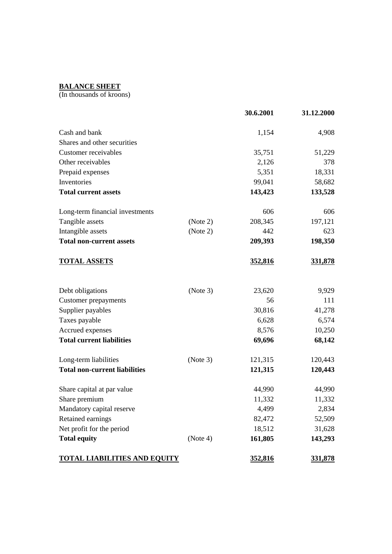# **BALANCE SHEET**

|                                      |          | 30.6.2001 | 31.12.2000     |
|--------------------------------------|----------|-----------|----------------|
| Cash and bank                        |          | 1,154     | 4,908          |
| Shares and other securities          |          |           |                |
| Customer receivables                 |          | 35,751    | 51,229         |
| Other receivables                    |          | 2,126     | 378            |
| Prepaid expenses                     |          | 5,351     | 18,331         |
| Inventories                          |          | 99,041    | 58,682         |
| <b>Total current assets</b>          |          | 143,423   | 133,528        |
| Long-term financial investments      |          | 606       | 606            |
| Tangible assets                      | (Note 2) | 208,345   | 197,121        |
| Intangible assets                    | (Note 2) | 442       | 623            |
| <b>Total non-current assets</b>      |          | 209,393   | 198,350        |
| <b>TOTAL ASSETS</b>                  |          | 352,816   | 331,878        |
| Debt obligations                     | (Note 3) | 23,620    | 9,929          |
| <b>Customer</b> prepayments          |          | 56        | 111            |
| Supplier payables                    |          | 30,816    | 41,278         |
| Taxes payable                        |          | 6,628     | 6,574          |
| Accrued expenses                     |          | 8,576     | 10,250         |
| <b>Total current liabilities</b>     |          | 69,696    | 68,142         |
| Long-term liabilities                | (Note 3) | 121,315   | 120,443        |
| <b>Total non-current liabilities</b> |          | 121,315   | 120,443        |
| Share capital at par value           |          | 44,990    | 44,990         |
| Share premium                        |          | 11,332    | 11,332         |
| Mandatory capital reserve            |          | 4,499     | 2,834          |
| Retained earnings                    |          | 82,472    | 52,509         |
| Net profit for the period            |          | 18,512    | 31,628         |
| <b>Total equity</b>                  | (Note 4) | 161,805   | 143,293        |
| <u>TOTAL LIABILITIES AND EQUITY</u>  |          | 352,816   | <u>331,878</u> |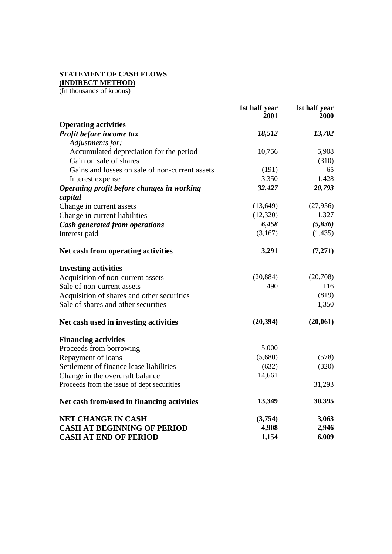## **STATEMENT OF CASH FLOWS**

**(INDIRECT METHOD)**

|                                                | 1st half year<br>2001 | 1st half year<br>2000 |
|------------------------------------------------|-----------------------|-----------------------|
| <b>Operating activities</b>                    |                       |                       |
| Profit before income tax                       | 18,512                | 13,702                |
| Adjustments for:                               |                       |                       |
| Accumulated depreciation for the period        | 10,756                | 5,908                 |
| Gain on sale of shares                         |                       | (310)                 |
| Gains and losses on sale of non-current assets | (191)                 | 65                    |
| Interest expense                               | 3,350                 | 1,428                 |
| Operating profit before changes in working     | 32,427                | 20,793                |
| capital                                        |                       |                       |
| Change in current assets                       | (13, 649)             | (27,956)              |
| Change in current liabilities                  | (12,320)              | 1,327                 |
| Cash generated from operations                 | 6,458                 | (5,836)               |
| Interest paid                                  | (3,167)               | (1, 435)              |
| Net cash from operating activities             | 3,291                 | (7,271)               |
| <b>Investing activities</b>                    |                       |                       |
| Acquisition of non-current assets              | (20, 884)             | (20,708)              |
| Sale of non-current assets                     | 490                   | 116                   |
| Acquisition of shares and other securities     |                       | (819)                 |
| Sale of shares and other securities            |                       | 1,350                 |
| Net cash used in investing activities          | (20, 394)             | (20,061)              |
| <b>Financing activities</b>                    |                       |                       |
| Proceeds from borrowing                        | 5,000                 |                       |
| Repayment of loans                             | (5,680)               | (578)                 |
| Settlement of finance lease liabilities        | (632)                 | (320)                 |
| Change in the overdraft balance                | 14,661                |                       |
| Proceeds from the issue of dept securities     |                       | 31,293                |
| Net cash from/used in financing activities     | 13,349                | 30,395                |
| <b>NET CHANGE IN CASH</b>                      | (3,754)               | 3,063                 |
| <b>CASH AT BEGINNING OF PERIOD</b>             | 4,908                 | 2,946                 |
| <b>CASH AT END OF PERIOD</b>                   | 1,154                 | 6,009                 |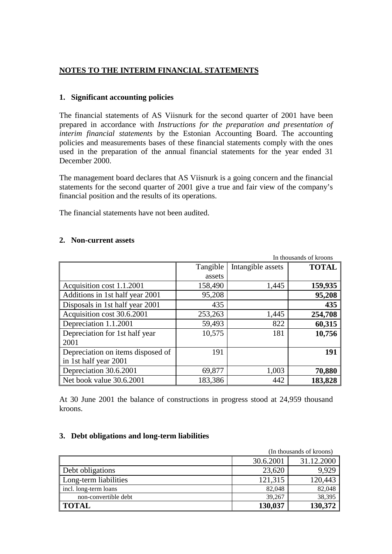### **NOTES TO THE INTERIM FINANCIAL STATEMENTS**

#### **1. Significant accounting policies**

The financial statements of AS Viisnurk for the second quarter of 2001 have been prepared in accordance with *Instructions for the preparation and presentation of interim financial statements* by the Estonian Accounting Board. The accounting policies and measurements bases of these financial statements comply with the ones used in the preparation of the annual financial statements for the year ended 31 December 2000.

The management board declares that AS Viisnurk is a going concern and the financial statements for the second quarter of 2001 give a true and fair view of the company's financial position and the results of its operations.

The financial statements have not been audited.

#### **2. Non-current assets**

| In thousands of kroons            |          |                   |              |  |  |  |
|-----------------------------------|----------|-------------------|--------------|--|--|--|
|                                   | Tangible | Intangible assets | <b>TOTAL</b> |  |  |  |
|                                   | assets   |                   |              |  |  |  |
| Acquisition cost 1.1.2001         | 158,490  | 1,445             | 159,935      |  |  |  |
| Additions in 1st half year 2001   | 95,208   |                   | 95,208       |  |  |  |
| Disposals in 1st half year 2001   | 435      |                   | 435          |  |  |  |
| Acquisition cost 30.6.2001        | 253,263  | 1,445             | 254,708      |  |  |  |
| Depreciation 1.1.2001             | 59,493   | 822               | 60,315       |  |  |  |
| Depreciation for 1st half year    | 10,575   | 181               | 10,756       |  |  |  |
| 2001                              |          |                   |              |  |  |  |
| Depreciation on items disposed of | 191      |                   | 191          |  |  |  |
| in 1st half year 2001             |          |                   |              |  |  |  |
| Depreciation 30.6.2001            | 69,877   | 1,003             | 70,880       |  |  |  |
| Net book value 30.6.2001          | 183,386  | 442               | 183,828      |  |  |  |

At 30 June 2001 the balance of constructions in progress stood at 24,959 thousand kroons.

#### **3. Debt obligations and long-term liabilities**

|                       | (In thousands of kroons) |            |  |  |  |
|-----------------------|--------------------------|------------|--|--|--|
|                       | 30.6.2001                | 31.12.2000 |  |  |  |
| Debt obligations      | 23,620                   | 9,929      |  |  |  |
| Long-term liabilities | 121,315                  | 120,443    |  |  |  |
| incl. long-term loans | 82,048                   | 82,048     |  |  |  |
| non-convertible debt  | 39.267                   | 38,395     |  |  |  |
| <b>TOTAL</b>          | 130,037                  | 130,372    |  |  |  |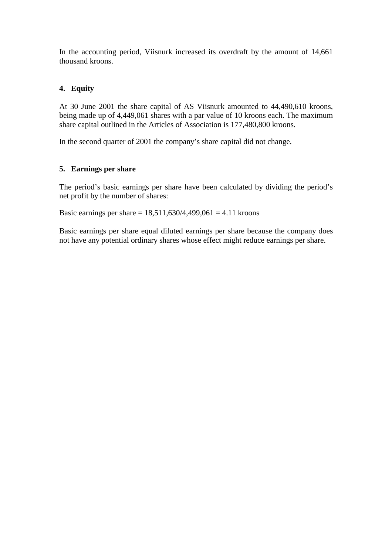In the accounting period, Viisnurk increased its overdraft by the amount of 14,661 thousand kroons.

## **4. Equity**

At 30 June 2001 the share capital of AS Viisnurk amounted to 44,490,610 kroons, being made up of 4,449,061 shares with a par value of 10 kroons each. The maximum share capital outlined in the Articles of Association is 177,480,800 kroons.

In the second quarter of 2001 the company's share capital did not change.

### **5. Earnings per share**

The period's basic earnings per share have been calculated by dividing the period's net profit by the number of shares:

Basic earnings per share =  $18,511,630/4,499,061 = 4.11$  kroons

Basic earnings per share equal diluted earnings per share because the company does not have any potential ordinary shares whose effect might reduce earnings per share.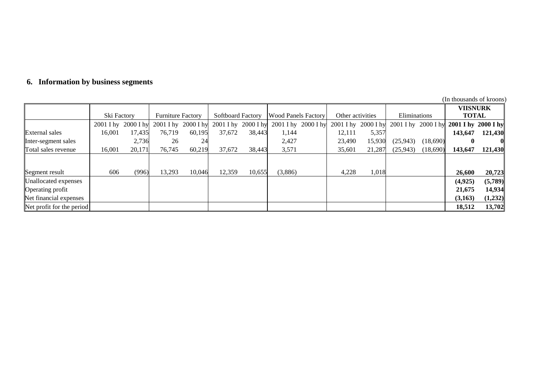|  |  |  | 6. Information by business segments |  |
|--|--|--|-------------------------------------|--|
|--|--|--|-------------------------------------|--|

|                           |                     |        |                          |        |                          |        |                            |                  |                     |              |                     | (In thousands of kroons) |                     |
|---------------------------|---------------------|--------|--------------------------|--------|--------------------------|--------|----------------------------|------------------|---------------------|--------------|---------------------|--------------------------|---------------------|
|                           |                     |        |                          |        |                          |        |                            |                  |                     |              |                     | <b>VIISNURK</b>          |                     |
|                           | Ski Factory         |        | <b>Furniture Factory</b> |        | <b>Softboard Factory</b> |        | <b>Wood Panels Factory</b> | Other activities |                     | Eliminations |                     | <b>TOTAL</b>             |                     |
|                           | 2001 I hy 2000 I hy |        | 2001 I hy 2000 I hy      |        | $2001$ I hy $2000$ I hy  |        | $2001$ I hy $2000$ I hy    |                  | 2001 I hy 2000 I hy |              | 2001 I hy 2000 I hy |                          | 2001 I hy 2000 I hy |
| <b>External sales</b>     | 16,001              | 17,435 | 76.719                   | 60,195 | 37,672                   | 38,443 | 1,144                      | 12,111           | 5,357               |              |                     | 143,647                  | 121,430             |
| Inter-segment sales       |                     | 2,736  | 26                       | 24     |                          |        | 2,427                      | 23,490           | 15,930              | (25,943)     | (18,690)            |                          |                     |
| Total sales revenue       | 16,001              | 20,171 | 76,745                   | 60,219 | 37,672                   | 38,443 | 3,571                      | 35,601           | 21,287              | (25,943)     | (18,690)            | 143,647                  | 121,430             |
|                           |                     |        |                          |        |                          |        |                            |                  |                     |              |                     |                          |                     |
| Segment result            | 606                 | (996)  | 13,293                   | 10.046 | 12,359                   | 10,655 | (3,886)                    | 4,228            | 1,018               |              |                     | 26,600                   | 20,723              |
| Unallocated expenses      |                     |        |                          |        |                          |        |                            |                  |                     |              |                     | (4,925)                  | (5,789)             |
| Operating profit          |                     |        |                          |        |                          |        |                            |                  |                     |              |                     | 21,675                   | 14,934              |
| Net financial expenses    |                     |        |                          |        |                          |        |                            |                  |                     |              |                     | (3,163)                  | (1,232)             |
| Net profit for the period |                     |        |                          |        |                          |        |                            |                  |                     |              |                     | 18,512                   | 13,702              |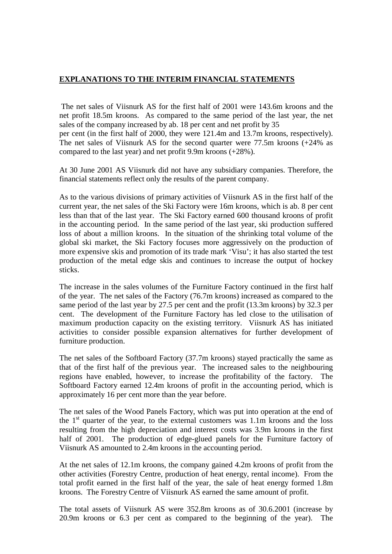#### **EXPLANATIONS TO THE INTERIM FINANCIAL STATEMENTS**

 The net sales of Viisnurk AS for the first half of 2001 were 143.6m kroons and the net profit 18.5m kroons. As compared to the same period of the last year, the net sales of the company increased by ab. 18 per cent and net profit by 35 per cent (in the first half of 2000, they were 121.4m and 13.7m kroons, respectively). The net sales of Viisnurk AS for the second quarter were 77.5m kroons (+24% as compared to the last year) and net profit 9.9m kroons (+28%).

At 30 June 2001 AS Viisnurk did not have any subsidiary companies. Therefore, the financial statements reflect only the results of the parent company.

As to the various divisions of primary activities of Viisnurk AS in the first half of the current year, the net sales of the Ski Factory were 16m kroons, which is ab. 8 per cent less than that of the last year. The Ski Factory earned 600 thousand kroons of profit in the accounting period. In the same period of the last year, ski production suffered loss of about a million kroons. In the situation of the shrinking total volume of the global ski market, the Ski Factory focuses more aggressively on the production of more expensive skis and promotion of its trade mark 'Visu'; it has also started the test production of the metal edge skis and continues to increase the output of hockey sticks.

The increase in the sales volumes of the Furniture Factory continued in the first half of the year. The net sales of the Factory (76.7m kroons) increased as compared to the same period of the last year by 27.5 per cent and the profit (13.3m kroons) by 32.3 per cent. The development of the Furniture Factory has led close to the utilisation of maximum production capacity on the existing territory. Viisnurk AS has initiated activities to consider possible expansion alternatives for further development of furniture production.

The net sales of the Softboard Factory (37.7m kroons) stayed practically the same as that of the first half of the previous year. The increased sales to the neighbouring regions have enabled, however, to increase the profitability of the factory. The Softboard Factory earned 12.4m kroons of profit in the accounting period, which is approximately 16 per cent more than the year before.

The net sales of the Wood Panels Factory, which was put into operation at the end of the  $1<sup>st</sup>$  quarter of the year, to the external customers was 1.1m kroons and the loss resulting from the high depreciation and interest costs was 3.9m kroons in the first half of 2001. The production of edge-glued panels for the Furniture factory of Viisnurk AS amounted to 2.4m kroons in the accounting period.

At the net sales of 12.1m kroons, the company gained 4.2m kroons of profit from the other activities (Forestry Centre, production of heat energy, rental income). From the total profit earned in the first half of the year, the sale of heat energy formed 1.8m kroons. The Forestry Centre of Viisnurk AS earned the same amount of profit.

The total assets of Viisnurk AS were 352.8m kroons as of 30.6.2001 (increase by 20.9m kroons or 6.3 per cent as compared to the beginning of the year). The